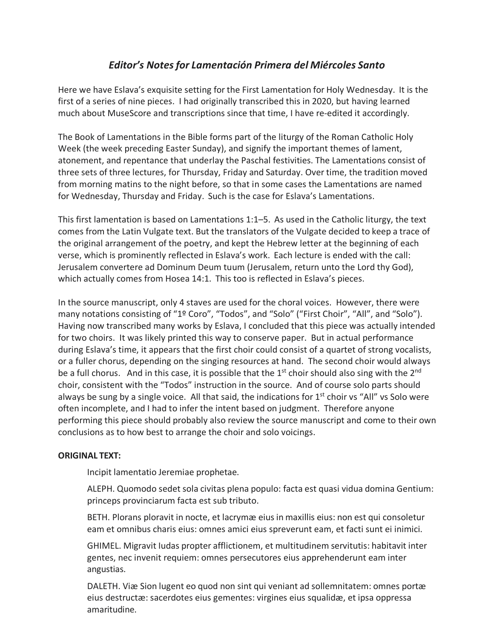## *Editor's Notesfor Lamentación Primera del Miércoles Santo*

Here we have Eslava's exquisite setting for the First Lamentation for Holy Wednesday. It is the first of a series of nine pieces. I had originally transcribed this in 2020, but having learned much about MuseScore and transcriptions since that time, I have re-edited it accordingly.

The Book of Lamentations in the Bible forms part of the liturgy of the Roman Catholic Holy Week (the week preceding Easter Sunday), and signify the important themes of lament, atonement, and repentance that underlay the Paschal festivities. The Lamentations consist of three sets of three lectures, for Thursday, Friday and Saturday. Over time, the tradition moved from morning matins to the night before, so that in some cases the Lamentations are named for Wednesday, Thursday and Friday. Such is the case for Eslava's Lamentations.

This first lamentation is based on Lamentations 1:1–5. As used in the Catholic liturgy, the text comes from the Latin Vulgate text. But the translators of the Vulgate decided to keep a trace of the original arrangement of the poetry, and kept the Hebrew letter at the beginning of each verse, which is prominently reflected in Eslava's work. Each lecture is ended with the call: Jerusalem convertere ad Dominum Deum tuum (Jerusalem, return unto the Lord thy God), which actually comes from Hosea 14:1. This too is reflected in Eslava's pieces.

In the source manuscript, only 4 staves are used for the choral voices. However, there were many notations consisting of "1º Coro", "Todos", and "Solo" ("First Choir", "All", and "Solo"). Having now transcribed many works by Eslava, I concluded that this piece was actually intended for two choirs. It was likely printed this way to conserve paper. But in actual performance during Eslava's time, it appears that the first choir could consist of a quartet of strong vocalists, or a fuller chorus, depending on the singing resources at hand. The second choir would always be a full chorus. And in this case, it is possible that the  $1<sup>st</sup>$  choir should also sing with the  $2<sup>nd</sup>$ choir, consistent with the "Todos" instruction in the source. And of course solo parts should always be sung by a single voice. All that said, the indications for  $1<sup>st</sup>$  choir vs "All" vs Solo were often incomplete, and I had to infer the intent based on judgment. Therefore anyone performing this piece should probably also review the source manuscript and come to their own conclusions as to how best to arrange the choir and solo voicings.

## **ORIGINAL TEXT:**

Incipit lamentatio Jeremiae prophetae.

ALEPH. Quomodo sedet sola civitas plena populo: facta est quasi vidua domina Gentium: princeps provinciarum facta est sub tributo.

BETH. Plorans ploravit in nocte, et lacrymæ eiusin maxillis eius: non est qui consoletur eam et omnibus charis eius: omnes amici eius spreverunt eam, et facti sunt ei inimici.

GHIMEL. Migravit Iudas propter afflictionem, et multitudinem servitutis: habitavit inter gentes, nec invenit requiem: omnes persecutores eius apprehenderunt eam inter angustias.

DALETH. Viæ Sion lugent eo quod non sint qui veniant ad sollemnitatem: omnes portæ eius destructæ: sacerdotes eius gementes: virgines eius squalidæ, et ipsa oppressa amaritudine.